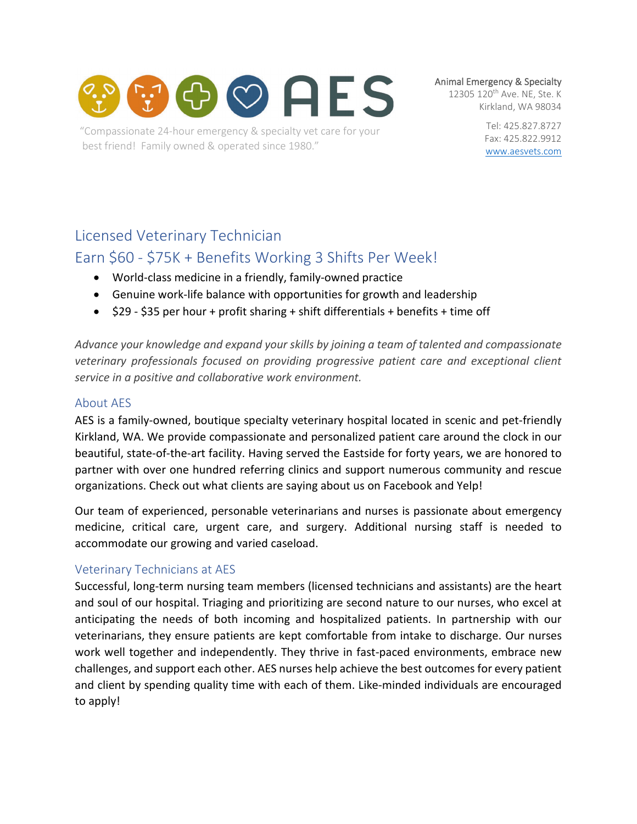

"Compassionate 24-hour emergency & specialty vet care for your best friend! Family owned & operated since 1980."

Animal Emergency & Specialty

12305 120<sup>th</sup> Ave. NE, Ste. K Kirkland, WA 98034

> Tel: 425.827.8727 Fax: 425.822.9912 [www.aesvets.com](https://d.docs.live.net/8f45e0968f0d7eca/Documents/AES/www.aesvets.com)

# Licensed Veterinary Technician

# Earn \$60 - \$75K + Benefits Working 3 Shifts Per Week!

- World-class medicine in a friendly, family-owned practice
- Genuine work-life balance with opportunities for growth and leadership
- $\bullet$  \$29 \$35 per hour + profit sharing + shift differentials + benefits + time off

*Advance your knowledge and expand your skills by joining a team of talented and compassionate veterinary professionals focused on providing progressive patient care and exceptional client service in a positive and collaborative work environment.*

### About AES

AES is a family-owned, boutique specialty veterinary hospital located in scenic and pet-friendly Kirkland, WA. We provide compassionate and personalized patient care around the clock in our beautiful, state-of-the-art facility. Having served the Eastside for forty years, we are honored to partner with over one hundred referring clinics and support numerous community and rescue organizations. Check out what clients are saying about us on Facebook and Yelp!

Our team of experienced, personable veterinarians and nurses is passionate about emergency medicine, critical care, urgent care, and surgery. Additional nursing staff is needed to accommodate our growing and varied caseload.

## Veterinary Technicians at AES

Successful, long-term nursing team members (licensed technicians and assistants) are the heart and soul of our hospital. Triaging and prioritizing are second nature to our nurses, who excel at anticipating the needs of both incoming and hospitalized patients. In partnership with our veterinarians, they ensure patients are kept comfortable from intake to discharge. Our nurses work well together and independently. They thrive in fast-paced environments, embrace new challenges, and support each other. AES nurses help achieve the best outcomes for every patient and client by spending quality time with each of them. Like-minded individuals are encouraged to apply!